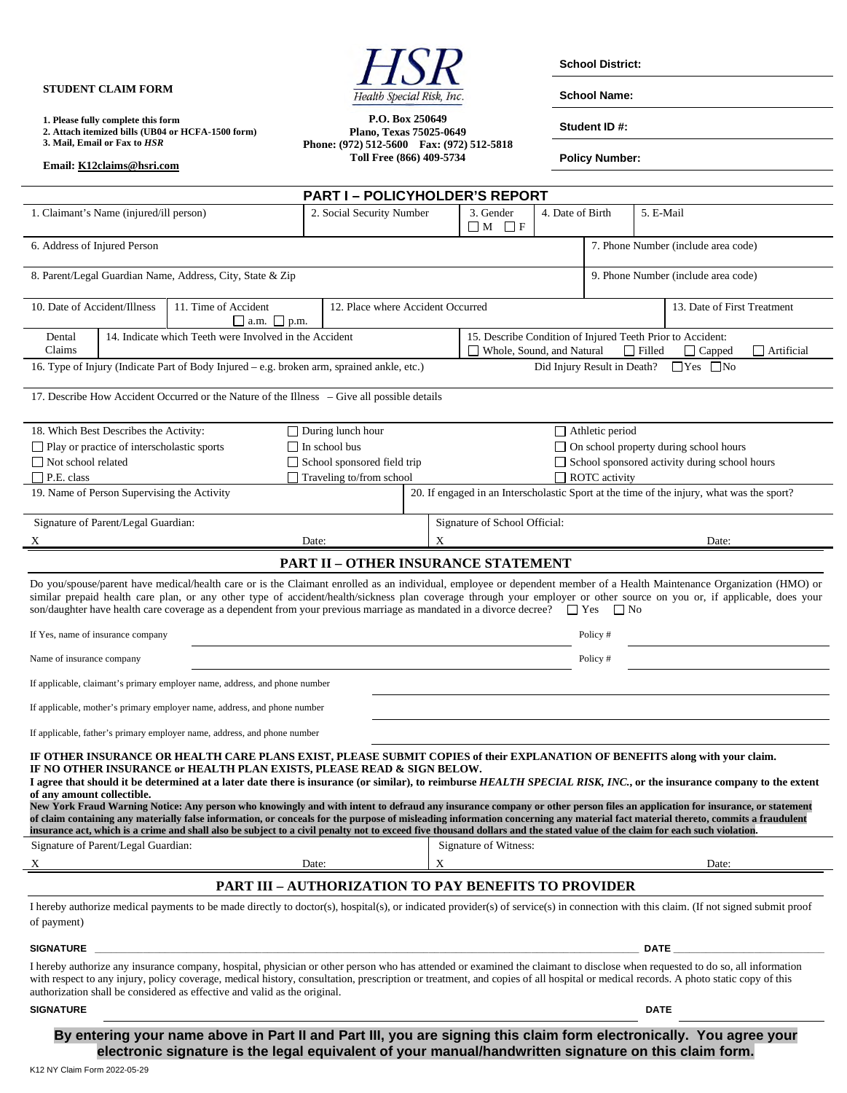**STUDENT CLAIM FORM** 

**Email: K12claims@hsri.com**

**1. Please fully complete this form 2. Attach itemized bills (UB04 or HCFA-1500 form) 3. Mail, Email or Fax to** *HSR* 



**P.O. Box 250649** 

**School District:** 

**School Name:** 

**Student ID #:** 

**Plano, Texas 75025-0649 Phone: (972) 512-5600 Fax: (972) 512-5818 Toll Free (866) 409-5734** 

**Policy Number:** 

**PART I – POLICYHOLDER'S REPORT** 1. Claimant's Name (injured/ill person) 2. Social Security Number 3. Gender  $\Box M$   $\Box F$ 4. Date of Birth 5. E-Mail 6. Address of Injured Person 7. Phone Number (include area code) 8. Parent/Legal Guardian Name, Address, City, State & Zip 9. Phone Number (include area code) 10. Date of Accident/Illness 11. Time of Accident  $\Box$  a.m.  $\Box$  p.m. 12. Place where Accident Occurred 13. Date of First Treatment Dental Claims 14. Indicate which Teeth were Involved in the Accident 15. Describe Condition of Injured Teeth Prior to Accident: □ Whole, Sound, and Natural □ Filled □ Capped □ Artificial 16. Type of Injury (Indicate Part of Body Injured – e.g. broken arm, sprained ankle, etc.) Did Injury Result in Death?  $\Box$  Yes  $\Box$  No 17. Describe How Accident Occurred or the Nature of the Illness – Give all possible details 18. Which Best Describes the Activity: □ Play or practice of interscholastic sports Not school related □ P.E. class During lunch hour □ In school bus School sponsored field trip  $\Box$  Traveling to/from school Athletic period □ On school property during school hours School sponsored activity during school hours □ ROTC activity 19. Name of Person Supervising the Activity 20. If engaged in an Interscholastic Sport at the time of the injury, what was the sport? Signature of Parent/Legal Guardian: X Date: Signature of School Official: X Date: **PART II – OTHER INSURANCE STATEMENT** Do you/spouse/parent have medical/health care or is the Claimant enrolled as an individual, employee or dependent member of a Health Maintenance Organization (HMO) or similar prepaid health care plan, or any other type of accident/health/sickness plan coverage through your employer or other source on you or, if applicable, does your son/daughter have health care coverage as a dependent from your previous marriage as mandated in a divorce decree?  $\Box$  Yes  $\Box$  No If Yes, name of insurance company Policy # Name of insurance company Policy # If applicable, claimant's primary employer name, address, and phone number If applicable, mother's primary employer name, address, and phone number If applicable, father's primary employer name, address, and phone number **IF OTHER INSURANCE OR HEALTH CARE PLANS EXIST, PLEASE SUBMIT COPIES of their EXPLANATION OF BENEFITS along with your claim. IF NO OTHER INSURANCE or HEALTH PLAN EXISTS, PLEASE READ & SIGN BELOW.**  I agree that should it be determined at a later date there is insurance (or similar), to reimburse *HEALTH SPECIAL RISK, INC*., or the insurance company to the extent **of any amount collectible. New York Fraud Warning Notice: Any person who knowingly and with intent to defraud any insurance company or other person files an application for insurance, or statement of claim containing any materially false information, or conceals for the purpose of misleading information concerning any material fact material thereto, commits a fraudulent insurance act, which is a crime and shall also be subject to a civil penalty not to exceed five thousand dollars and the stated value of the claim for each such violation.**  Signature of Parent/Legal Guardian: X Date: Signature of Witness: X Date: **PART III – AUTHORIZATION TO PAY BENEFITS TO PROVIDER**  I hereby authorize medical payments to be made directly to doctor(s), hospital(s), or indicated provider(s) of service(s) in connection with this claim. (If not signed submit proof of payment) **SIGNATURE \_\_\_\_\_\_\_\_\_\_\_\_\_\_\_\_\_\_\_\_\_\_\_\_\_\_\_\_\_\_\_\_\_\_\_\_\_\_\_\_\_\_\_\_\_\_\_\_\_\_\_\_\_\_\_\_\_\_\_\_\_\_\_\_\_\_\_\_\_\_\_\_\_\_\_\_\_\_\_\_\_\_\_\_\_\_\_\_\_\_\_\_\_\_\_\_\_\_\_\_\_ DATE \_\_\_\_\_\_\_\_\_\_\_\_\_\_\_\_\_\_\_\_\_\_\_\_\_\_\_\_**  I hereby authorize any insurance company, hospital, physician or other person who has attended or examined the claimant to disclose when requested to do so, all information with respect to any injury, policy coverage, medical history, consultation, prescription or treatment, and copies of all hospital or medical records. A photo static copy of this authorization shall be considered as effective and valid as the original. **SIGNATURE DATE** DATE DATE OF A SERIES AND SERIES OF A SERIES OF A SERIES OF A SERIES OF A SERIES OF A SERIES OF A SERIES OF A SERIES OF A SERIES OF A SERIES OF A SERIES OF A SERIES OF A SERIES OF A SERIES OF A SERIES OF A

**By entering your name above in Part II and Part III, you are signing this claim form electronically. You agree your electronic signature is the legal equivalent of your manual/handwritten signature on this claim form.**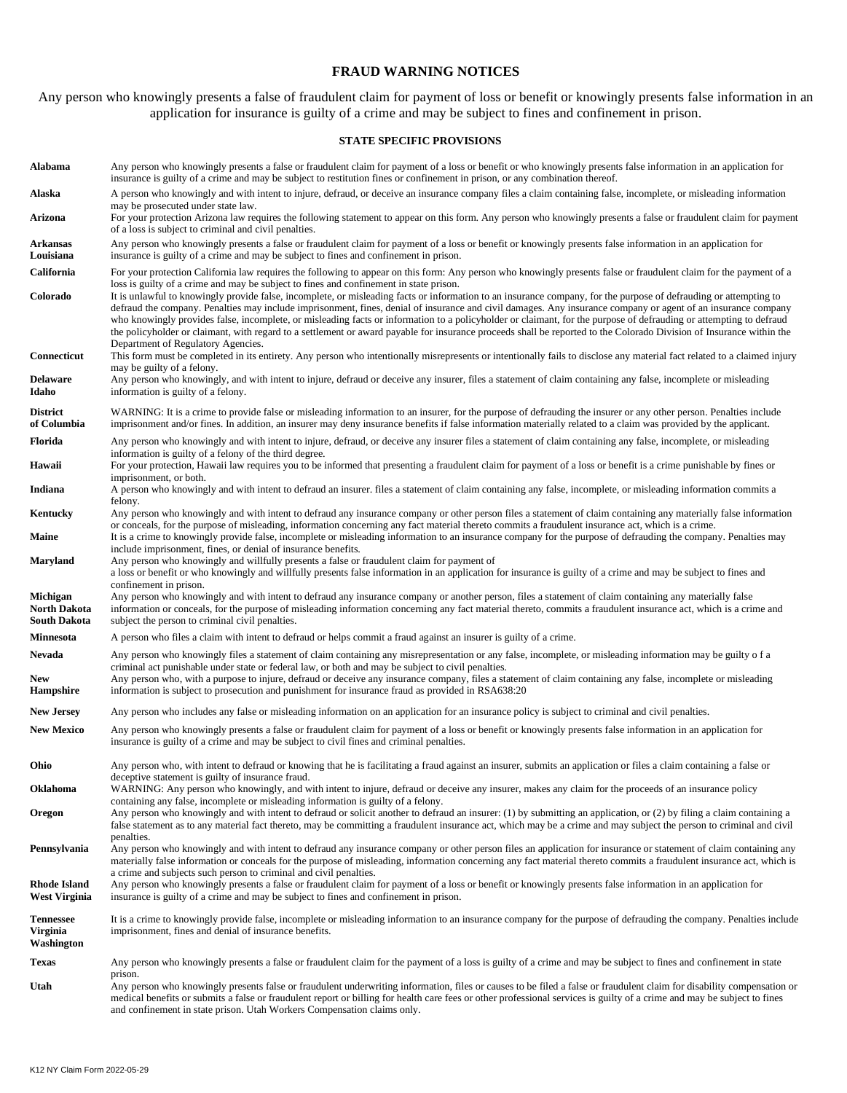### **FRAUD WARNING NOTICES**

Any person who knowingly presents a false of fraudulent claim for payment of loss or benefit or knowingly presents false information in an application for insurance is guilty of a crime and may be subject to fines and confinement in prison.

#### **STATE SPECIFIC PROVISIONS**

| Alabama                                           | Any person who knowingly presents a false or fraudulent claim for payment of a loss or benefit or who knowingly presents false information in an application for<br>insurance is guilty of a crime and may be subject to restitution fines or confinement in prison, or any combination thereof.                                                                                                                                                                                                                                                                                                                                                                                                                       |
|---------------------------------------------------|------------------------------------------------------------------------------------------------------------------------------------------------------------------------------------------------------------------------------------------------------------------------------------------------------------------------------------------------------------------------------------------------------------------------------------------------------------------------------------------------------------------------------------------------------------------------------------------------------------------------------------------------------------------------------------------------------------------------|
| Alaska                                            | A person who knowingly and with intent to injure, defraud, or deceive an insurance company files a claim containing false, incomplete, or misleading information<br>may be prosecuted under state law.                                                                                                                                                                                                                                                                                                                                                                                                                                                                                                                 |
| Arizona                                           | For your protection Arizona law requires the following statement to appear on this form. Any person who knowingly presents a false or fraudulent claim for payment<br>of a loss is subject to criminal and civil penalties.                                                                                                                                                                                                                                                                                                                                                                                                                                                                                            |
| Arkansas<br>Louisiana                             | Any person who knowingly presents a false or fraudulent claim for payment of a loss or benefit or knowingly presents false information in an application for<br>insurance is guilty of a crime and may be subject to fines and confinement in prison.                                                                                                                                                                                                                                                                                                                                                                                                                                                                  |
| California                                        | For your protection California law requires the following to appear on this form: Any person who knowingly presents false or fraudulent claim for the payment of a<br>loss is guilty of a crime and may be subject to fines and confinement in state prison.                                                                                                                                                                                                                                                                                                                                                                                                                                                           |
| Colorado                                          | It is unlawful to knowingly provide false, incomplete, or misleading facts or information to an insurance company, for the purpose of defrauding or attempting to<br>defraud the company. Penalties may include imprisonment, fines, denial of insurance and civil damages. Any insurance company or agent of an insurance company<br>who knowingly provides false, incomplete, or misleading facts or information to a policyholder or claimant, for the purpose of defrauding or attempting to defraud<br>the policyholder or claimant, with regard to a settlement or award payable for insurance proceeds shall be reported to the Colorado Division of Insurance within the<br>Department of Regulatory Agencies. |
| Connecticut                                       | This form must be completed in its entirety. Any person who intentionally misrepresents or intentionally fails to disclose any material fact related to a claimed injury<br>may be guilty of a felony.                                                                                                                                                                                                                                                                                                                                                                                                                                                                                                                 |
| <b>Delaware</b><br>Idaho                          | Any person who knowingly, and with intent to injure, defraud or deceive any insurer, files a statement of claim containing any false, incomplete or misleading<br>information is guilty of a felony.                                                                                                                                                                                                                                                                                                                                                                                                                                                                                                                   |
| <b>District</b><br>of Columbia                    | WARNING: It is a crime to provide false or misleading information to an insurer, for the purpose of defrauding the insurer or any other person. Penalties include<br>imprisonment and/or fines. In addition, an insurer may deny insurance benefits if false information materially related to a claim was provided by the applicant.                                                                                                                                                                                                                                                                                                                                                                                  |
| Florida                                           | Any person who knowingly and with intent to injure, defraud, or deceive any insurer files a statement of claim containing any false, incomplete, or misleading<br>information is guilty of a felony of the third degree.                                                                                                                                                                                                                                                                                                                                                                                                                                                                                               |
| Hawaii                                            | For your protection, Hawaii law requires you to be informed that presenting a fraudulent claim for payment of a loss or benefit is a crime punishable by fines or<br>imprisonment, or both.                                                                                                                                                                                                                                                                                                                                                                                                                                                                                                                            |
| Indiana                                           | A person who knowingly and with intent to defraud an insurer. files a statement of claim containing any false, incomplete, or misleading information commits a<br>felony.                                                                                                                                                                                                                                                                                                                                                                                                                                                                                                                                              |
| Kentucky                                          | Any person who knowingly and with intent to defraud any insurance company or other person files a statement of claim containing any materially false information<br>or conceals, for the purpose of misleading, information concerning any fact material thereto commits a fraudulent insurance act, which is a crime.                                                                                                                                                                                                                                                                                                                                                                                                 |
| Maine                                             | It is a crime to knowingly provide false, incomplete or misleading information to an insurance company for the purpose of defrauding the company. Penalties may<br>include imprisonment, fines, or denial of insurance benefits.                                                                                                                                                                                                                                                                                                                                                                                                                                                                                       |
| <b>Maryland</b>                                   | Any person who knowingly and willfully presents a false or fraudulent claim for payment of<br>a loss or benefit or who knowingly and willfully presents false information in an application for insurance is guilty of a crime and may be subject to fines and<br>confinement in prison.                                                                                                                                                                                                                                                                                                                                                                                                                               |
| Michigan<br>North Dakota<br><b>South Dakota</b>   | Any person who knowingly and with intent to defraud any insurance company or another person, files a statement of claim containing any materially false<br>information or conceals, for the purpose of misleading information concerning any fact material thereto, commits a fraudulent insurance act, which is a crime and<br>subject the person to criminal civil penalties.                                                                                                                                                                                                                                                                                                                                        |
| Minnesota                                         | A person who files a claim with intent to defraud or helps commit a fraud against an insurer is guilty of a crime.                                                                                                                                                                                                                                                                                                                                                                                                                                                                                                                                                                                                     |
| Nevada<br><b>New</b>                              | Any person who knowingly files a statement of claim containing any misrepresentation or any false, incomplete, or misleading information may be guilty of a<br>criminal act punishable under state or federal law, or both and may be subject to civil penalties.<br>Any person who, with a purpose to injure, defraud or deceive any insurance company, files a statement of claim containing any false, incomplete or misleading                                                                                                                                                                                                                                                                                     |
| <b>Hampshire</b>                                  | information is subject to prosecution and punishment for insurance fraud as provided in RSA638:20                                                                                                                                                                                                                                                                                                                                                                                                                                                                                                                                                                                                                      |
| <b>New Jersey</b>                                 | Any person who includes any false or misleading information on an application for an insurance policy is subject to criminal and civil penalties.                                                                                                                                                                                                                                                                                                                                                                                                                                                                                                                                                                      |
| <b>New Mexico</b>                                 | Any person who knowingly presents a false or fraudulent claim for payment of a loss or benefit or knowingly presents false information in an application for<br>insurance is guilty of a crime and may be subject to civil fines and criminal penalties.                                                                                                                                                                                                                                                                                                                                                                                                                                                               |
| Ohio                                              | Any person who, with intent to defraud or knowing that he is facilitating a fraud against an insurer, submits an application or files a claim containing a false or<br>deceptive statement is guilty of insurance fraud.                                                                                                                                                                                                                                                                                                                                                                                                                                                                                               |
| Oklahoma                                          | WARNING: Any person who knowingly, and with intent to injure, defraud or deceive any insurer, makes any claim for the proceeds of an insurance policy<br>containing any false, incomplete or misleading information is guilty of a felony.                                                                                                                                                                                                                                                                                                                                                                                                                                                                             |
| Oregon                                            | Any person who knowingly and with intent to defraud or solicit another to defraud an insurer: (1) by submitting an application, or (2) by filing a claim containing a<br>false statement as to any material fact thereto, may be committing a fraudulent insurance act, which may be a crime and may subject the person to criminal and civil<br>penalties.                                                                                                                                                                                                                                                                                                                                                            |
| Pennsylvania                                      | Any person who knowingly and with intent to defraud any insurance company or other person files an application for insurance or statement of claim containing any<br>materially false information or conceals for the purpose of misleading, information concerning any fact material thereto commits a fraudulent insurance act, which is<br>a crime and subjects such person to criminal and civil penalties.                                                                                                                                                                                                                                                                                                        |
| Rhode Island<br>West Virginia                     | Any person who knowingly presents a false or fraudulent claim for payment of a loss or benefit or knowingly presents false information in an application for<br>insurance is guilty of a crime and may be subject to fines and confinement in prison.                                                                                                                                                                                                                                                                                                                                                                                                                                                                  |
| <b>Tennessee</b><br><b>Virginia</b><br>Washington | It is a crime to knowingly provide false, incomplete or misleading information to an insurance company for the purpose of defrauding the company. Penalties include<br>imprisonment, fines and denial of insurance benefits.                                                                                                                                                                                                                                                                                                                                                                                                                                                                                           |
| <b>Texas</b>                                      | Any person who knowingly presents a false or fraudulent claim for the payment of a loss is guilty of a crime and may be subject to fines and confinement in state                                                                                                                                                                                                                                                                                                                                                                                                                                                                                                                                                      |
| Utah                                              | prison.<br>Any person who knowingly presents false or fraudulent underwriting information, files or causes to be filed a false or fraudulent claim for disability compensation or<br>medical benefits or submits a false or fraudulent report or billing for health care fees or other professional services is guilty of a crime and may be subject to fines<br>and confinement in state prison. Utah Workers Compensation claims only.                                                                                                                                                                                                                                                                               |